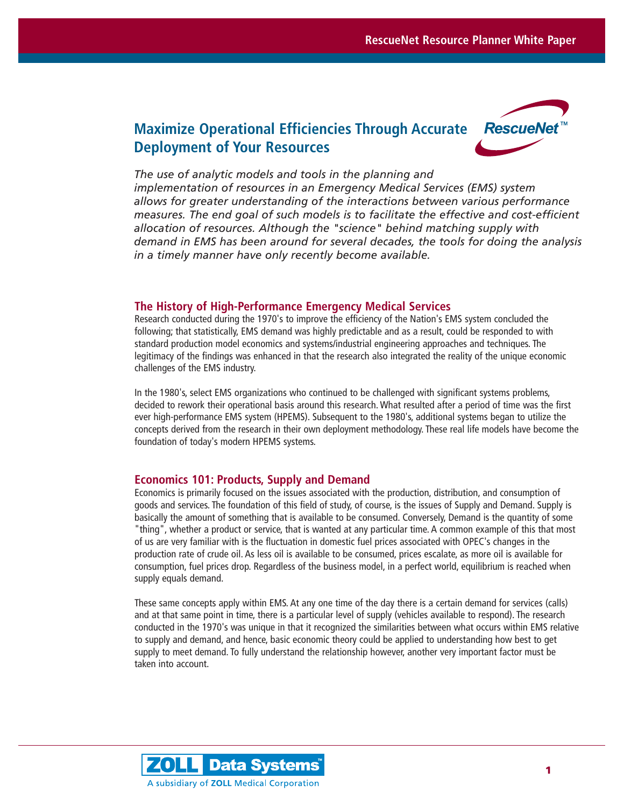# **Maximize Operational Efficiencies Through Accurate Deployment of Your Resources**



*The use of analytic models and tools in the planning and implementation of resources in an Emergency Medical Services (EMS) system allows for greater understanding of the interactions between various performance measures. The end goal of such models is to facilitate the effective and cost-efficient allocation of resources. Although the "science" behind matching supply with demand in EMS has been around for several decades, the tools for doing the analysis in a timely manner have only recently become available.* 

## **The History of High-Performance Emergency Medical Services**

Research conducted during the 1970's to improve the efficiency of the Nation's EMS system concluded the following; that statistically, EMS demand was highly predictable and as a result, could be responded to with standard production model economics and systems/industrial engineering approaches and techniques. The legitimacy of the findings was enhanced in that the research also integrated the reality of the unique economic challenges of the EMS industry.

In the 1980's, select EMS organizations who continued to be challenged with significant systems problems, decided to rework their operational basis around this research. What resulted after a period of time was the first ever high-performance EMS system (HPEMS). Subsequent to the 1980's, additional systems began to utilize the concepts derived from the research in their own deployment methodology. These real life models have become the foundation of today's modern HPEMS systems.

# **Economics 101: Products, Supply and Demand**

Economics is primarily focused on the issues associated with the production, distribution, and consumption of goods and services. The foundation of this field of study, of course, is the issues of Supply and Demand. Supply is basically the amount of something that is available to be consumed. Conversely, Demand is the quantity of some "thing", whether a product or service, that is wanted at any particular time. A common example of this that most of us are very familiar with is the fluctuation in domestic fuel prices associated with OPEC's changes in the production rate of crude oil. As less oil is available to be consumed, prices escalate, as more oil is available for consumption, fuel prices drop. Regardless of the business model, in a perfect world, equilibrium is reached when supply equals demand.

These same concepts apply within EMS. At any one time of the day there is a certain demand for services (calls) and at that same point in time, there is a particular level of supply (vehicles available to respond). The research conducted in the 1970's was unique in that it recognized the similarities between what occurs within EMS relative to supply and demand, and hence, basic economic theory could be applied to understanding how best to get supply to meet demand. To fully understand the relationship however, another very important factor must be taken into account.

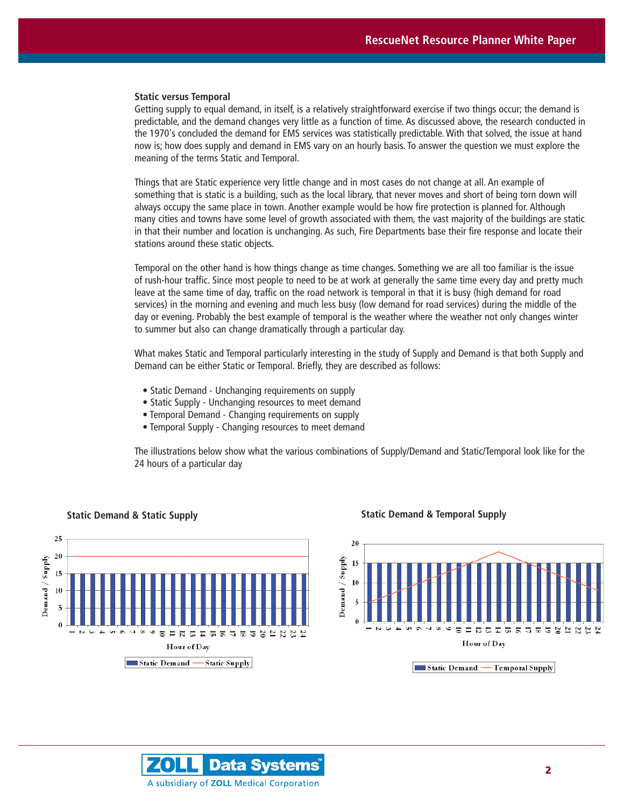#### **Static versus Temporal**

Getting supply to equal demand, in itself, is a relatively straightforward exercise if two things occur; the demand is predictable, and the demand changes very little as a function of time. As discussed above, the research conducted in the 1970's concluded the demand for EMS services was statistically predictable. With that solved, the issue at hand now is; how does supply and demand in EMS vary on an hourly basis. To answer the question we must explore the meaning of the terms Static and Temporal.

Things that are Static experience very little change and in most cases do not change at all. An example of something that is static is a building, such as the local library, that never moves and short of being torn down will always occupy the same place in town. Another example would be how fire protection is planned for. Although many cities and towns have some level of growth associated with them, the vast majority of the buildings are static in that their number and location is unchanging. As such, Fire Departments base their fire response and locate their stations around these static objects.

Temporal on the other hand is how things change as time changes. Something we are all too familiar is the issue of rush-hour traffic. Since most people to need to be at work at generally the same time every day and pretty much leave at the same time of day, traffic on the road network is temporal in that it is busy (high demand for road services) in the morning and evening and much less busy (low demand for road services) during the middle of the day or evening. Probably the best example of temporal is the weather where the weather not only changes winter to summer but also can change dramatically through a particular day.

What makes Static and Temporal particularly interesting in the study of Supply and Demand is that both Supply and Demand can be either Static or Temporal. Briefly, they are described as follows:

- Static Demand Unchanging requirements on supply
- Static Supply Unchanging resources to meet demand
- Temporal Demand Changing requirements on supply
- Temporal Supply Changing resources to meet demand

The illustrations below show what the various combinations of Supply/Demand and Static/Temporal look like for the 24 hours of a particular day



#### **Static Demand & Static Supply Static Demand & Temporal Supply**



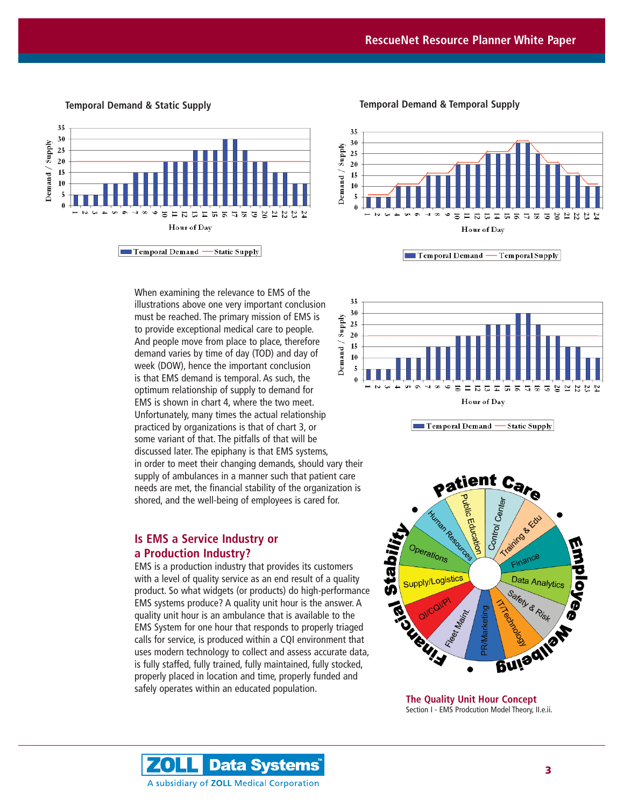

When examining the relevance to EMS of the illustrations above one very important conclusion must be reached. The primary mission of EMS is Demand / Supply to provide exceptional medical care to people. And people move from place to place, therefore demand varies by time of day (TOD) and day of week (DOW), hence the important conclusion is that EMS demand is temporal. As such, the optimum relationship of supply to demand for EMS is shown in chart 4, where the two meet. Unfortunately, many times the actual relationship practiced by organizations is that of chart 3, or some variant of that. The pitfalls of that will be discussed later. The epiphany is that EMS systems, in order to meet their changing demands, should vary their supply of ambulances in a manner such that patient care needs are met, the financial stability of the organization is shored, and the well-being of employees is cared for.

# **Is EMS a Service Industry or a Production Industry?**

EMS is a production industry that provides its customers with a level of quality service as an end result of a quality product. So what widgets (or products) do high-performance EMS systems produce? A quality unit hour is the answer. A quality unit hour is an ambulance that is available to the EMS System for one hour that responds to properly triaged calls for service, is produced within a CQI environment that uses modern technology to collect and assess accurate data, is fully staffed, fully trained, fully maintained, fully stocked, properly placed in location and time, properly funded and safely operates within an educated population.

**Temporal Demand & Static Supply Temporal Demand & Temporal Supply**



Temporal Demand — Temporal Supply



Temporal Demand --Static Supply



**The Quality Unit Hour Concept** Section I - EMS Prodcution Model Theory, II.e.ii.

**Data Systems** ZO Ц A subsidiary of ZOLL Medical Corporation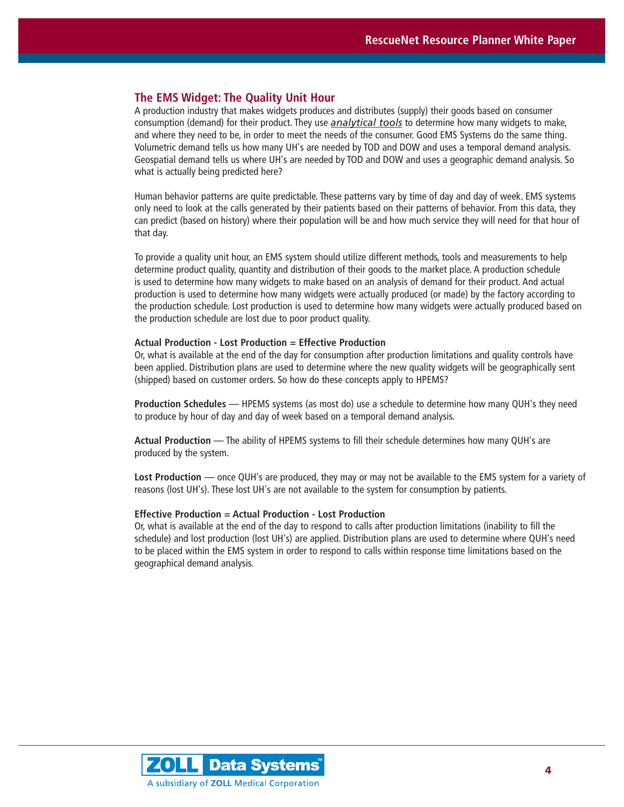# **The EMS Widget: The Quality Unit Hour**

A production industry that makes widgets produces and distributes (supply) their goods based on consumer consumption (demand) for their product. They use *analytical tools* to determine how many widgets to make, and where they need to be, in order to meet the needs of the consumer. Good EMS Systems do the same thing. Volumetric demand tells us how many UH's are needed by TOD and DOW and uses a temporal demand analysis. Geospatial demand tells us where UH's are needed by TOD and DOW and uses a geographic demand analysis. So what is actually being predicted here?

Human behavior patterns are quite predictable. These patterns vary by time of day and day of week. EMS systems only need to look at the calls generated by their patients based on their patterns of behavior. From this data, they can predict (based on history) where their population will be and how much service they will need for that hour of that day.

To provide a quality unit hour, an EMS system should utilize different methods, tools and measurements to help determine product quality, quantity and distribution of their goods to the market place. A production schedule is used to determine how many widgets to make based on an analysis of demand for their product. And actual production is used to determine how many widgets were actually produced (or made) by the factory according to the production schedule. Lost production is used to determine how many widgets were actually produced based on the production schedule are lost due to poor product quality.

#### **Actual Production - Lost Production = Effective Production**

Or, what is available at the end of the day for consumption after production limitations and quality controls have been applied. Distribution plans are used to determine where the new quality widgets will be geographically sent (shipped) based on customer orders. So how do these concepts apply to HPEMS?

**Production Schedules** — HPEMS systems (as most do) use a schedule to determine how many QUH's they need to produce by hour of day and day of week based on a temporal demand analysis.

**Actual Production** — The ability of HPEMS systems to fill their schedule determines how many QUH's are produced by the system.

**Lost Production** — once QUH's are produced, they may or may not be available to the EMS system for a variety of reasons (lost UH's). These lost UH's are not available to the system for consumption by patients.

#### **Effective Production = Actual Production - Lost Production**

Or, what is available at the end of the day to respond to calls after production limitations (inability to fill the schedule) and lost production (lost UH's) are applied. Distribution plans are used to determine where QUH's need to be placed within the EMS system in order to respond to calls within response time limitations based on the geographical demand analysis.

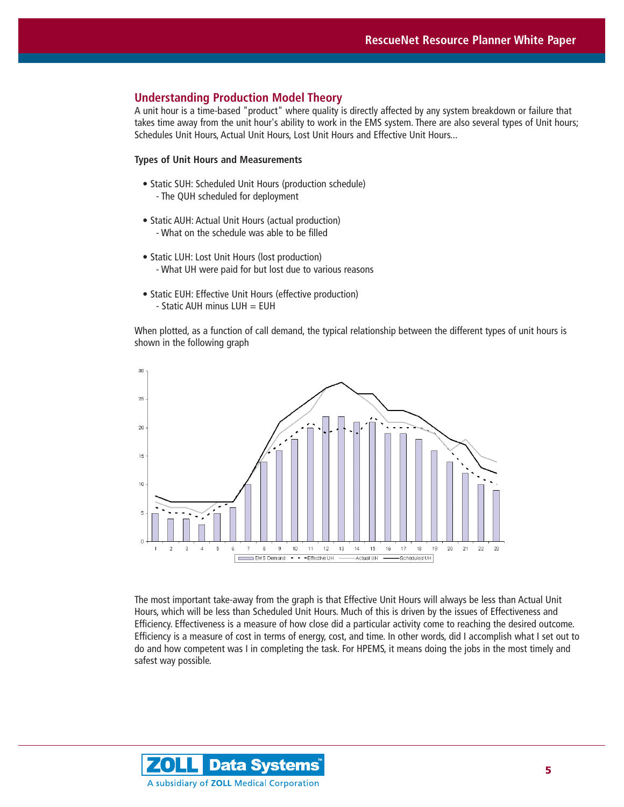# **Understanding Production Model Theory**

A unit hour is a time-based "product" where quality is directly affected by any system breakdown or failure that takes time away from the unit hour's ability to work in the EMS system. There are also several types of Unit hours; Schedules Unit Hours, Actual Unit Hours, Lost Unit Hours and Effective Unit Hours...

### **Types of Unit Hours and Measurements**

- Static SUH: Scheduled Unit Hours (production schedule) - The QUH scheduled for deployment
- Static AUH: Actual Unit Hours (actual production) - What on the schedule was able to be filled
- Static LUH: Lost Unit Hours (lost production) - What UH were paid for but lost due to various reasons
- Static EUH: Effective Unit Hours (effective production)  $-$  Static AUH minus LUH  $=$  EUH

When plotted, as a function of call demand, the typical relationship between the different types of unit hours is shown in the following graph



The most important take-away from the graph is that Effective Unit Hours will always be less than Actual Unit Hours, which will be less than Scheduled Unit Hours. Much of this is driven by the issues of Effectiveness and Efficiency. Effectiveness is a measure of how close did a particular activity come to reaching the desired outcome. Efficiency is a measure of cost in terms of energy, cost, and time. In other words, did I accomplish what I set out to do and how competent was I in completing the task. For HPEMS, it means doing the jobs in the most timely and safest way possible.

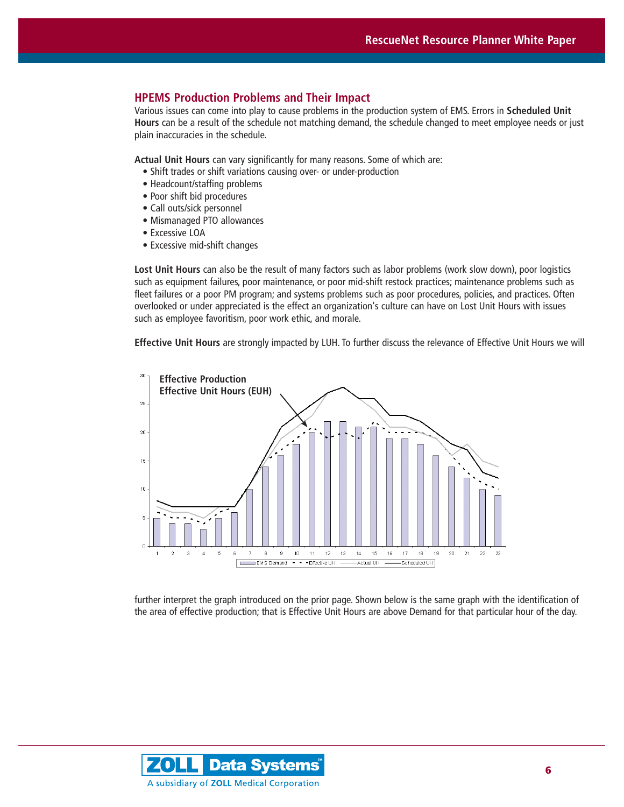# **HPEMS Production Problems and Their Impact**

Various issues can come into play to cause problems in the production system of EMS. Errors in **Scheduled Unit Hours** can be a result of the schedule not matching demand, the schedule changed to meet employee needs or just plain inaccuracies in the schedule.

**Actual Unit Hours** can vary significantly for many reasons. Some of which are:

- Shift trades or shift variations causing over- or under-production
- Headcount/staffing problems
- Poor shift bid procedures
- Call outs/sick personnel
- Mismanaged PTO allowances
- Excessive LOA
- Excessive mid-shift changes

**Lost Unit Hours** can also be the result of many factors such as labor problems (work slow down), poor logistics such as equipment failures, poor maintenance, or poor mid-shift restock practices; maintenance problems such as fleet failures or a poor PM program; and systems problems such as poor procedures, policies, and practices. Often overlooked or under appreciated is the effect an organization's culture can have on Lost Unit Hours with issues such as employee favoritism, poor work ethic, and morale.

**Effective Unit Hours** are strongly impacted by LUH. To further discuss the relevance of Effective Unit Hours we will



further interpret the graph introduced on the prior page. Shown below is the same graph with the identification of the area of effective production; that is Effective Unit Hours are above Demand for that particular hour of the day.

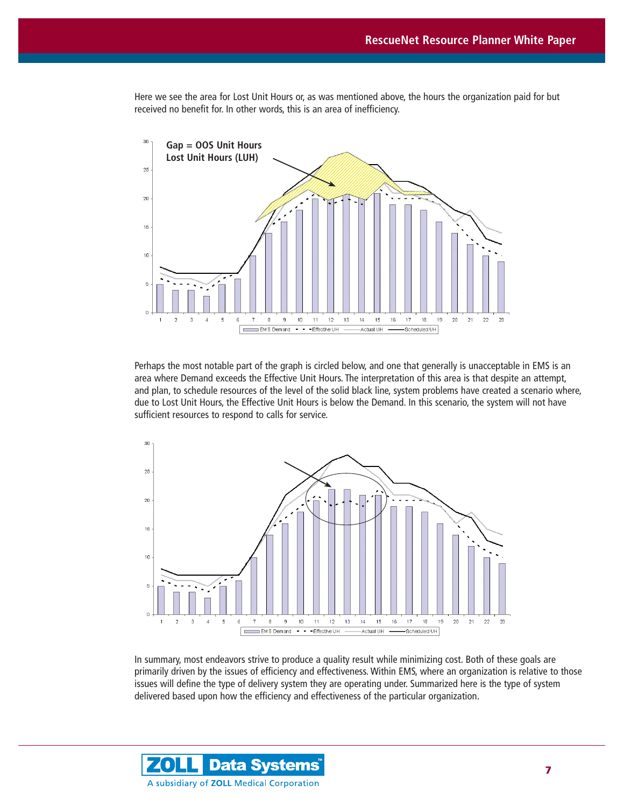Here we see the area for Lost Unit Hours or, as was mentioned above, the hours the organization paid for but received no benefit for. In other words, this is an area of inefficiency.



Perhaps the most notable part of the graph is circled below, and one that generally is unacceptable in EMS is an area where Demand exceeds the Effective Unit Hours. The interpretation of this area is that despite an attempt, and plan, to schedule resources of the level of the solid black line, system problems have created a scenario where, due to Lost Unit Hours, the Effective Unit Hours is below the Demand. In this scenario, the system will not have sufficient resources to respond to calls for service.



In summary, most endeavors strive to produce a quality result while minimizing cost. Both of these goals are primarily driven by the issues of efficiency and effectiveness. Within EMS, where an organization is relative to those issues will define the type of delivery system they are operating under. Summarized here is the type of system delivered based upon how the efficiency and effectiveness of the particular organization.

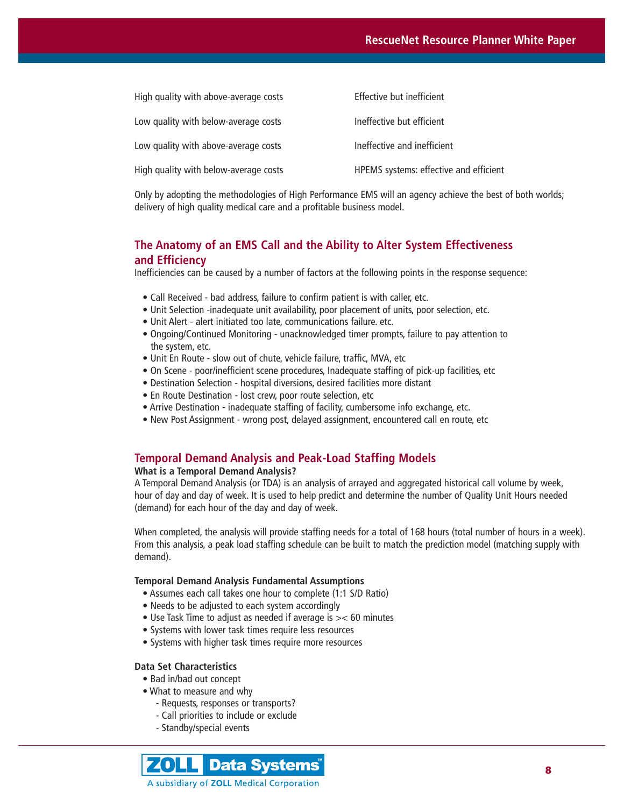| High quality with above-average costs | Effective but inefficient              |
|---------------------------------------|----------------------------------------|
| Low quality with below-average costs  | Ineffective but efficient              |
| Low quality with above-average costs  | Ineffective and inefficient            |
| High quality with below-average costs | HPEMS systems: effective and efficient |

Only by adopting the methodologies of High Performance EMS will an agency achieve the best of both worlds; delivery of high quality medical care and a profitable business model.

# **The Anatomy of an EMS Call and the Ability to Alter System Effectiveness and Efficiency**

Inefficiencies can be caused by a number of factors at the following points in the response sequence:

- Call Received bad address, failure to confirm patient is with caller, etc.
- Unit Selection -inadequate unit availability, poor placement of units, poor selection, etc.
- Unit Alert alert initiated too late, communications failure. etc.
- Ongoing/Continued Monitoring unacknowledged timer prompts, failure to pay attention to the system, etc.
- Unit En Route slow out of chute, vehicle failure, traffic, MVA, etc
- On Scene poor/inefficient scene procedures, Inadequate staffing of pick-up facilities, etc
- Destination Selection hospital diversions, desired facilities more distant
- En Route Destination lost crew, poor route selection, etc
- Arrive Destination inadequate staffing of facility, cumbersome info exchange, etc.
- New Post Assignment wrong post, delayed assignment, encountered call en route, etc

# **Temporal Demand Analysis and Peak-Load Staffing Models**

## **What is a Temporal Demand Analysis?**

A Temporal Demand Analysis (or TDA) is an analysis of arrayed and aggregated historical call volume by week, hour of day and day of week. It is used to help predict and determine the number of Quality Unit Hours needed (demand) for each hour of the day and day of week.

When completed, the analysis will provide staffing needs for a total of 168 hours (total number of hours in a week). From this analysis, a peak load staffing schedule can be built to match the prediction model (matching supply with demand).

#### **Temporal Demand Analysis Fundamental Assumptions**

- Assumes each call takes one hour to complete (1:1 S/D Ratio)
- Needs to be adjusted to each system accordingly
- Use Task Time to adjust as needed if average is >< 60 minutes
- Systems with lower task times require less resources
- Systems with higher task times require more resources

### **Data Set Characteristics**

- Bad in/bad out concept
- What to measure and why
	- Requests, responses or transports?
	- Call priorities to include or exclude
	- Standby/special events

**ZOLL** Data Systems<sup>®</sup> A subsidiary of ZOLL Medical Corporation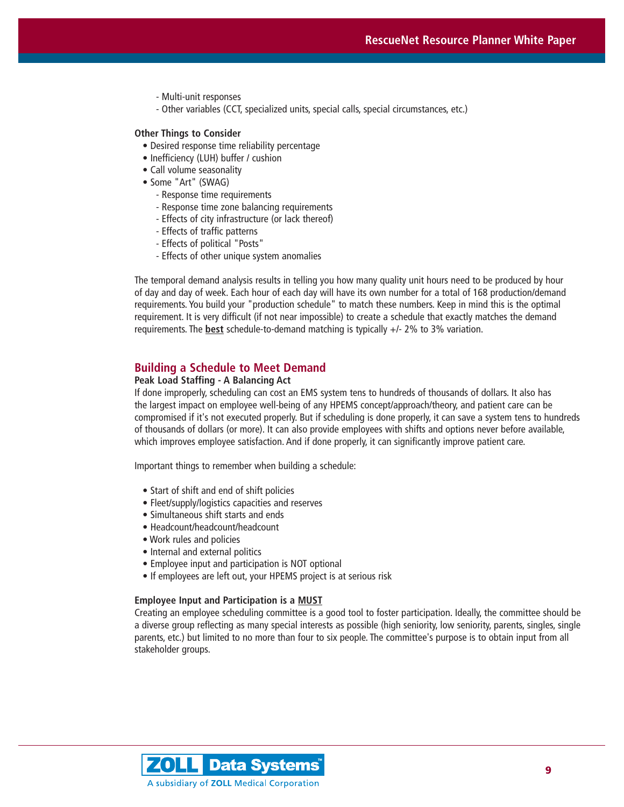- Multi-unit responses
- Other variables (CCT, specialized units, special calls, special circumstances, etc.)

#### **Other Things to Consider**

- Desired response time reliability percentage
- Inefficiency (LUH) buffer / cushion
- Call volume seasonality
- Some "Art" (SWAG)
	- Response time requirements
	- Response time zone balancing requirements
	- Effects of city infrastructure (or lack thereof)
	- Effects of traffic patterns
	- Effects of political "Posts"
	- Effects of other unique system anomalies

The temporal demand analysis results in telling you how many quality unit hours need to be produced by hour of day and day of week. Each hour of each day will have its own number for a total of 168 production/demand requirements. You build your "production schedule" to match these numbers. Keep in mind this is the optimal requirement. It is very difficult (if not near impossible) to create a schedule that exactly matches the demand requirements. The **best** schedule-to-demand matching is typically +/- 2% to 3% variation.

#### **Building a Schedule to Meet Demand**

# **Peak Load Staffing - A Balancing Act**

If done improperly, scheduling can cost an EMS system tens to hundreds of thousands of dollars. It also has the largest impact on employee well-being of any HPEMS concept/approach/theory, and patient care can be compromised if it's not executed properly. But if scheduling is done properly, it can save a system tens to hundreds of thousands of dollars (or more). It can also provide employees with shifts and options never before available, which improves employee satisfaction. And if done properly, it can significantly improve patient care.

Important things to remember when building a schedule:

- Start of shift and end of shift policies
- Fleet/supply/logistics capacities and reserves
- Simultaneous shift starts and ends
- Headcount/headcount/headcount
- Work rules and policies
- Internal and external politics
- Employee input and participation is NOT optional
- If employees are left out, your HPEMS project is at serious risk

### **Employee Input and Participation is a MUST**

Creating an employee scheduling committee is a good tool to foster participation. Ideally, the committee should be a diverse group reflecting as many special interests as possible (high seniority, low seniority, parents, singles, single parents, etc.) but limited to no more than four to six people. The committee's purpose is to obtain input from all stakeholder groups.

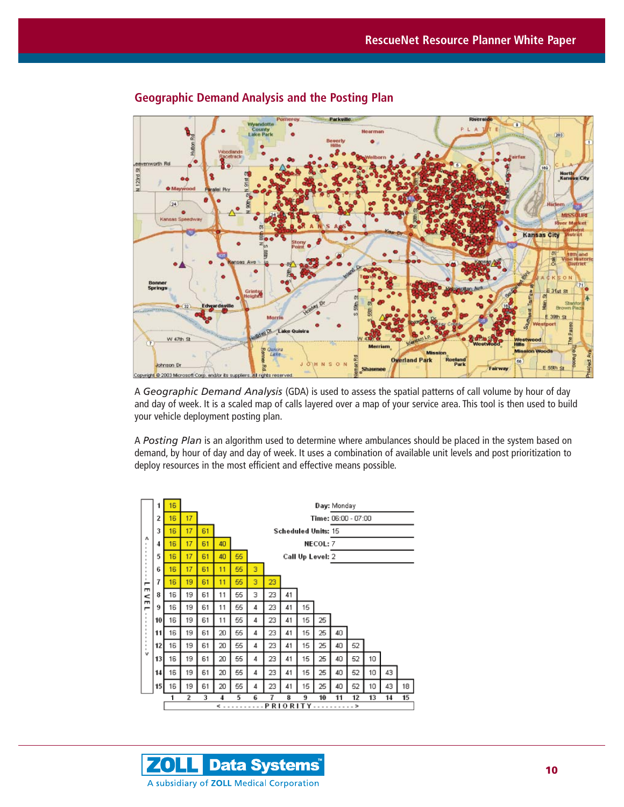

# **Geographic Demand Analysis and the Posting Plan**

A *Geographic Demand Analysis* (GDA) is used to assess the spatial patterns of call volume by hour of day and day of week. It is a scaled map of calls layered over a map of your service area. This tool is then used to build your vehicle deployment posting plan.

A *Posting Plan* is an algorithm used to determine where ambulances should be placed in the system based on demand, by hour of day and day of week. It uses a combination of available unit levels and post prioritization to deploy resources in the most efficient and effective means possible.



**ZOLLI Data Systems** A subsidiary of ZOLL Medical Corporation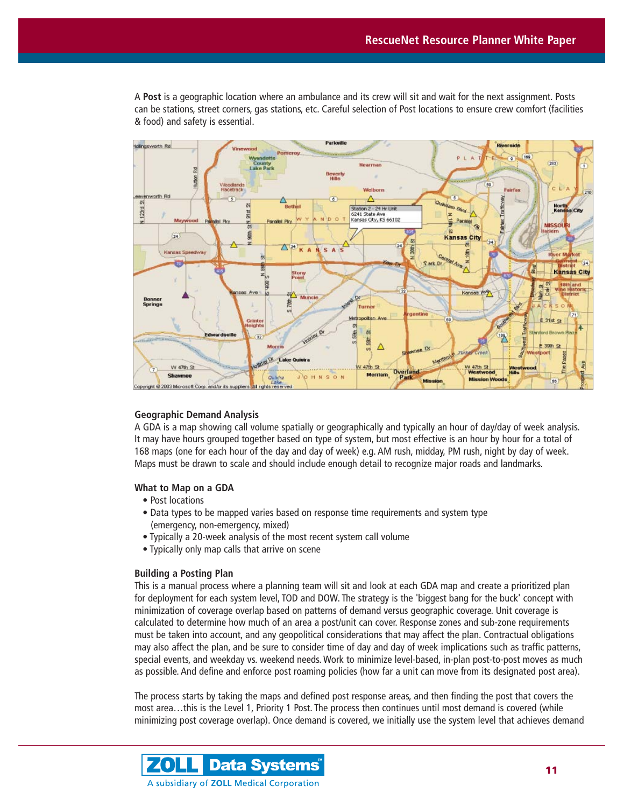A **Post** is a geographic location where an ambulance and its crew will sit and wait for the next assignment. Posts can be stations, street corners, gas stations, etc. Careful selection of Post locations to ensure crew comfort (facilities & food) and safety is essential.



### **Geographic Demand Analysis**

A GDA is a map showing call volume spatially or geographically and typically an hour of day/day of week analysis. It may have hours grouped together based on type of system, but most effective is an hour by hour for a total of 168 maps (one for each hour of the day and day of week) e.g. AM rush, midday, PM rush, night by day of week. Maps must be drawn to scale and should include enough detail to recognize major roads and landmarks.

### **What to Map on a GDA**

- Post locations
- Data types to be mapped varies based on response time requirements and system type (emergency, non-emergency, mixed)
- Typically a 20-week analysis of the most recent system call volume
- Typically only map calls that arrive on scene

#### **Building a Posting Plan**

This is a manual process where a planning team will sit and look at each GDA map and create a prioritized plan for deployment for each system level, TOD and DOW. The strategy is the 'biggest bang for the buck' concept with minimization of coverage overlap based on patterns of demand versus geographic coverage. Unit coverage is calculated to determine how much of an area a post/unit can cover. Response zones and sub-zone requirements must be taken into account, and any geopolitical considerations that may affect the plan. Contractual obligations may also affect the plan, and be sure to consider time of day and day of week implications such as traffic patterns, special events, and weekday vs. weekend needs. Work to minimize level-based, in-plan post-to-post moves as much as possible. And define and enforce post roaming policies (how far a unit can move from its designated post area).

The process starts by taking the maps and defined post response areas, and then finding the post that covers the most area…this is the Level 1, Priority 1 Post. The process then continues until most demand is covered (while minimizing post coverage overlap). Once demand is covered, we initially use the system level that achieves demand